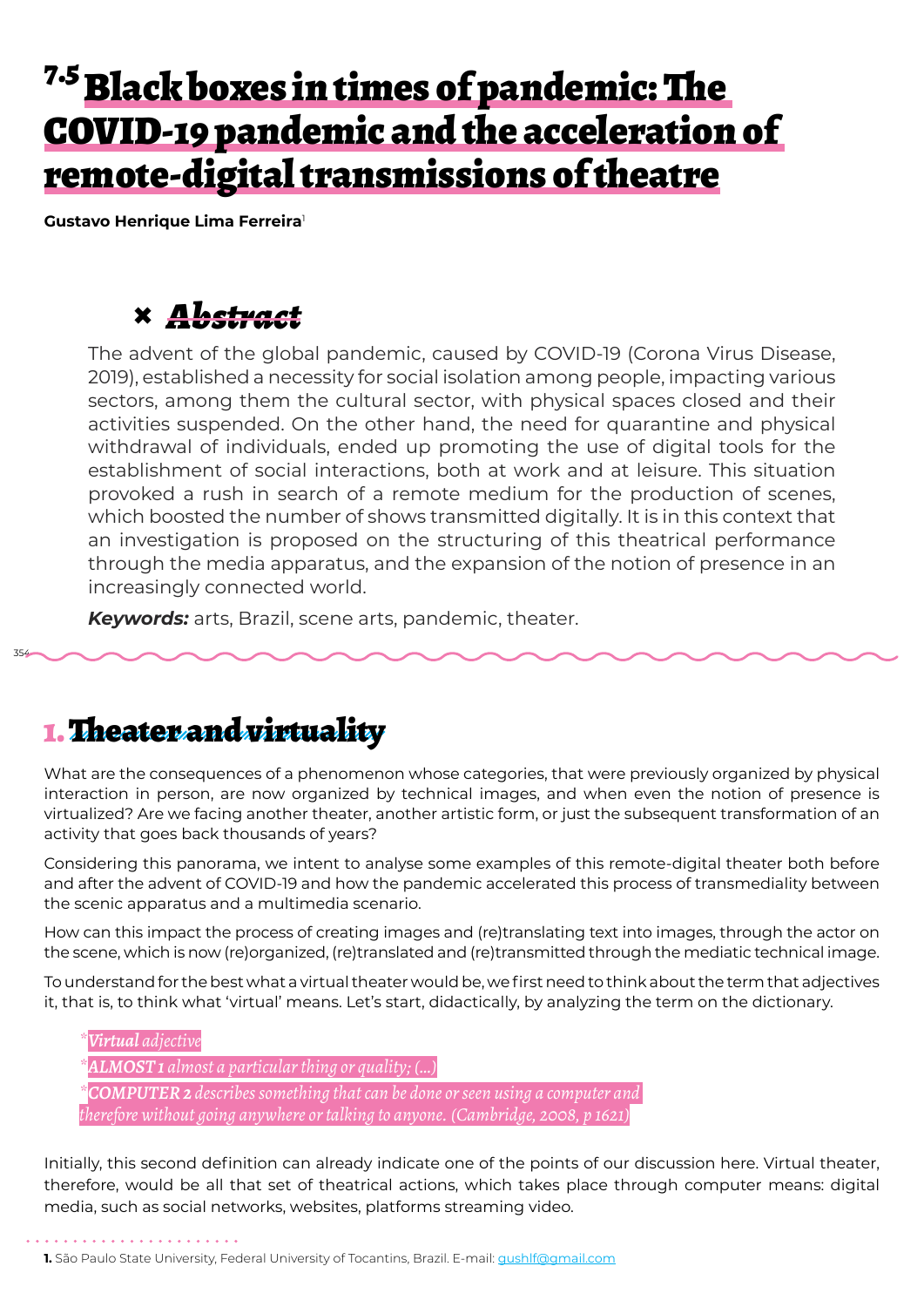# <sup>7.5</sup> Black boxes in times of pandemic: The COVID-19 pandemic and the acceleration of remote-digital transmissions of theatre

**Gustavo Henrique Lima Ferreira**<sup>1</sup>

### **×** *Abstract*

The advent of the global pandemic, caused by COVID-19 (Corona Virus Disease, 2019), established a necessity for social isolation among people, impacting various sectors, among them the cultural sector, with physical spaces closed and their activities suspended. On the other hand, the need for quarantine and physical withdrawal of individuals, ended up promoting the use of digital tools for the establishment of social interactions, both at work and at leisure. This situation provoked a rush in search of a remote medium for the production of scenes, which boosted the number of shows transmitted digitally. It is in this context that an investigation is proposed on the structuring of this theatrical performance through the media apparatus, and the expansion of the notion of presence in an increasingly connected world.

*Keywords:* arts, Brazil, scene arts, pandemic, theater.

#### 1. Theater and virtuality

354

What are the consequences of a phenomenon whose categories, that were previously organized by physical interaction in person, are now organized by technical images, and when even the notion of presence is virtualized? Are we facing another theater, another artistic form, or just the subsequent transformation of an activity that goes back thousands of years?

Considering this panorama, we intent to analyse some examples of this remote-digital theater both before and after the advent of COVID-19 and how the pandemic accelerated this process of transmediality between the scenic apparatus and a multimedia scenario.

How can this impact the process of creating images and (re)translating text into images, through the actor on the scene, which is now (re)organized, (re)translated and (re)transmitted through the mediatic technical image.

To understand for the best what a virtual theater would be, we first need to think about the term that adjectives it, that is, to think what 'virtual' means. Let's start, didactically, by analyzing the term on the dictionary.

#### *\*Virtual adjective \*ALMOST 1 almost a particular thing or quality; (…) \*COMPUTER 2 describes something that can be done or seen using a computer and*

*therefore without going anywhere or talking to anyone. (Cambridge, 2008, p 1621)*

Initially, this second definition can already indicate one of the points of our discussion here. Virtual theater, therefore, would be all that set of theatrical actions, which takes place through computer means: digital media, such as social networks, websites, platforms streaming video.

1. São Paulo State University, Federal University of Tocantins, Brazil. E-mail: *gushlf@gmail.com*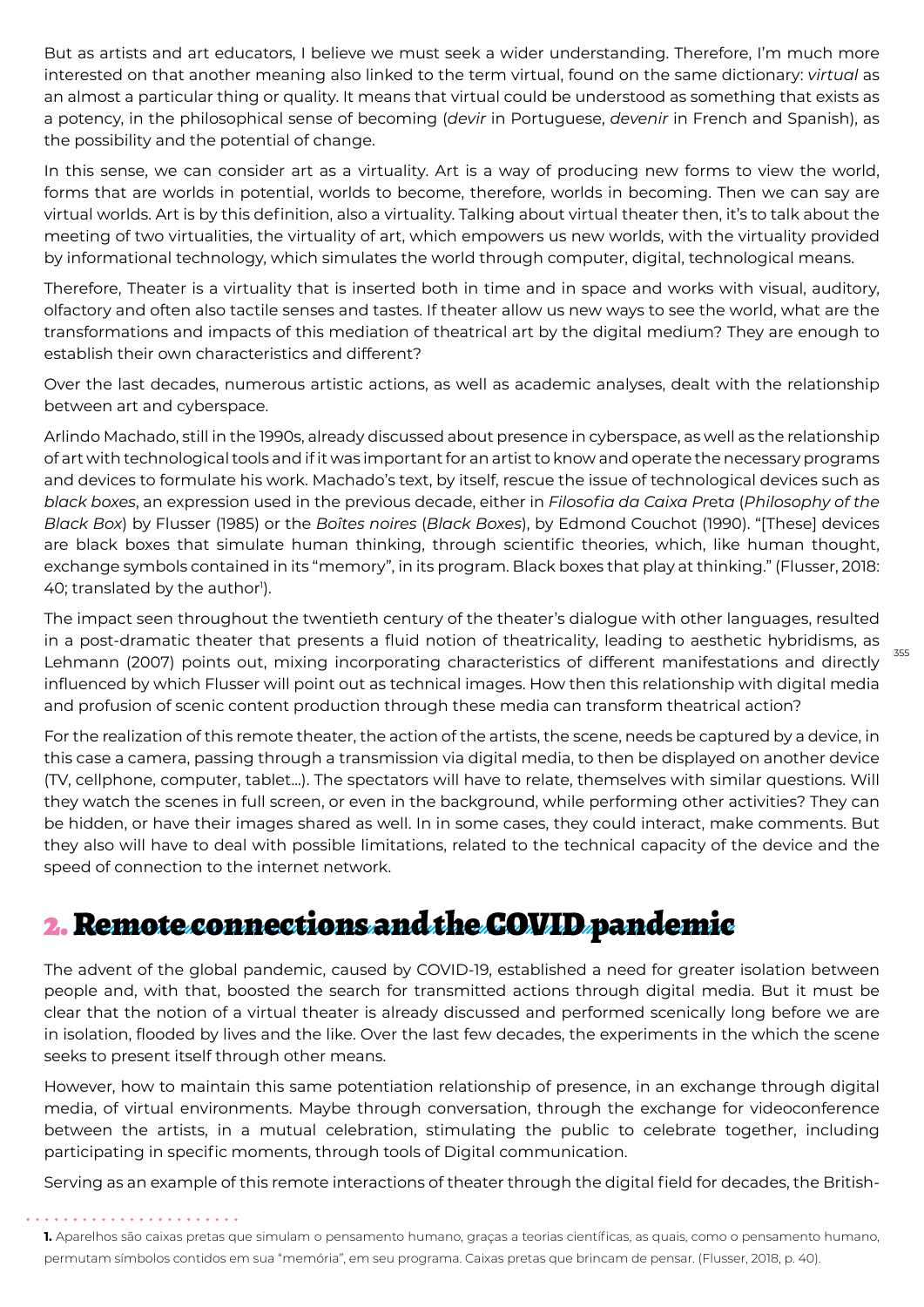But as artists and art educators, I believe we must seek a wider understanding. Therefore, I'm much more interested on that another meaning also linked to the term virtual, found on the same dictionary: *virtual* as an almost a particular thing or quality. It means that virtual could be understood as something that exists as a potency, in the philosophical sense of becoming (*devir* in Portuguese, *devenir* in French and Spanish), as the possibility and the potential of change.

In this sense, we can consider art as a virtuality. Art is a way of producing new forms to view the world, forms that are worlds in potential, worlds to become, therefore, worlds in becoming. Then we can say are virtual worlds. Art is by this definition, also a virtuality. Talking about virtual theater then, it's to talk about the meeting of two virtualities, the virtuality of art, which empowers us new worlds, with the virtuality provided by informational technology, which simulates the world through computer, digital, technological means.

Therefore, Theater is a virtuality that is inserted both in time and in space and works with visual, auditory, olfactory and often also tactile senses and tastes. If theater allow us new ways to see the world, what are the transformations and impacts of this mediation of theatrical art by the digital medium? They are enough to establish their own characteristics and different?

Over the last decades, numerous artistic actions, as well as academic analyses, dealt with the relationship between art and cyberspace.

Arlindo Machado, still in the 1990s, already discussed about presence in cyberspace, as well as the relationship of art with technological tools and if it was important for an artist to know and operate the necessary programs and devices to formulate his work. Machado's text, by itself, rescue the issue of technological devices such as *black boxes*, an expression used in the previous decade, either in *Filosofia da Caixa Pr*et*a* (*Philosophy of the Black Box*) by Flusser (1985) or the *Boîtes noires* (*Black Boxes*), by Edmond Couchot (1990). "[These] devices are black boxes that simulate human thinking, through scientific theories, which, like human thought, exchange symbols contained in its "memory", in its program. Black boxes that play at thinking." (Flusser, 2018: 40; translated by the author $^{\rm{l}}$ ).

The impact seen throughout the twentieth century of the theater's dialogue with other languages, resulted in a post-dramatic theater that presents a fluid notion of theatricality, leading to aesthetic hybridisms, as Lehmann (2007) points out, mixing incorporating characteristics of different manifestations and directly influenced by which Flusser will point out as technical images. How then this relationship with digital media and profusion of scenic content production through these media can transform theatrical action?

355

For the realization of this remote theater, the action of the artists, the scene, needs be captured by a device, in this case a camera, passing through a transmission via digital media, to then be displayed on another device (TV, cellphone, computer, tablet...). The spectators will have to relate, themselves with similar questions. Will they watch the scenes in full screen, or even in the background, while performing other activities? They can be hidden, or have their images shared as well. In in some cases, they could interact, make comments. But they also will have to deal with possible limitations, related to the technical capacity of the device and the speed of connection to the internet network.

### 2. Remote connections and the COVID pandemic

The advent of the global pandemic, caused by COVID-19, established a need for greater isolation between people and, with that, boosted the search for transmitted actions through digital media. But it must be clear that the notion of a virtual theater is already discussed and performed scenically long before we are in isolation, flooded by lives and the like. Over the last few decades, the experiments in the which the scene seeks to present itself through other means.

However, how to maintain this same potentiation relationship of presence, in an exchange through digital media, of virtual environments. Maybe through conversation, through the exchange for videoconference between the artists, in a mutual celebration, stimulating the public to celebrate together, including participating in specific moments, through tools of Digital communication.

Serving as an example of this remote interactions of theater through the digital field for decades, the British-

**1.** Aparelhos são caixas pretas que simulam o pensamento humano, graças a teorias científicas, as quais, como o pensamento humano, permutam símbolos contidos em sua "memória", em seu programa. Caixas pretas que brincam de pensar. (Flusser, 2018, p. 40).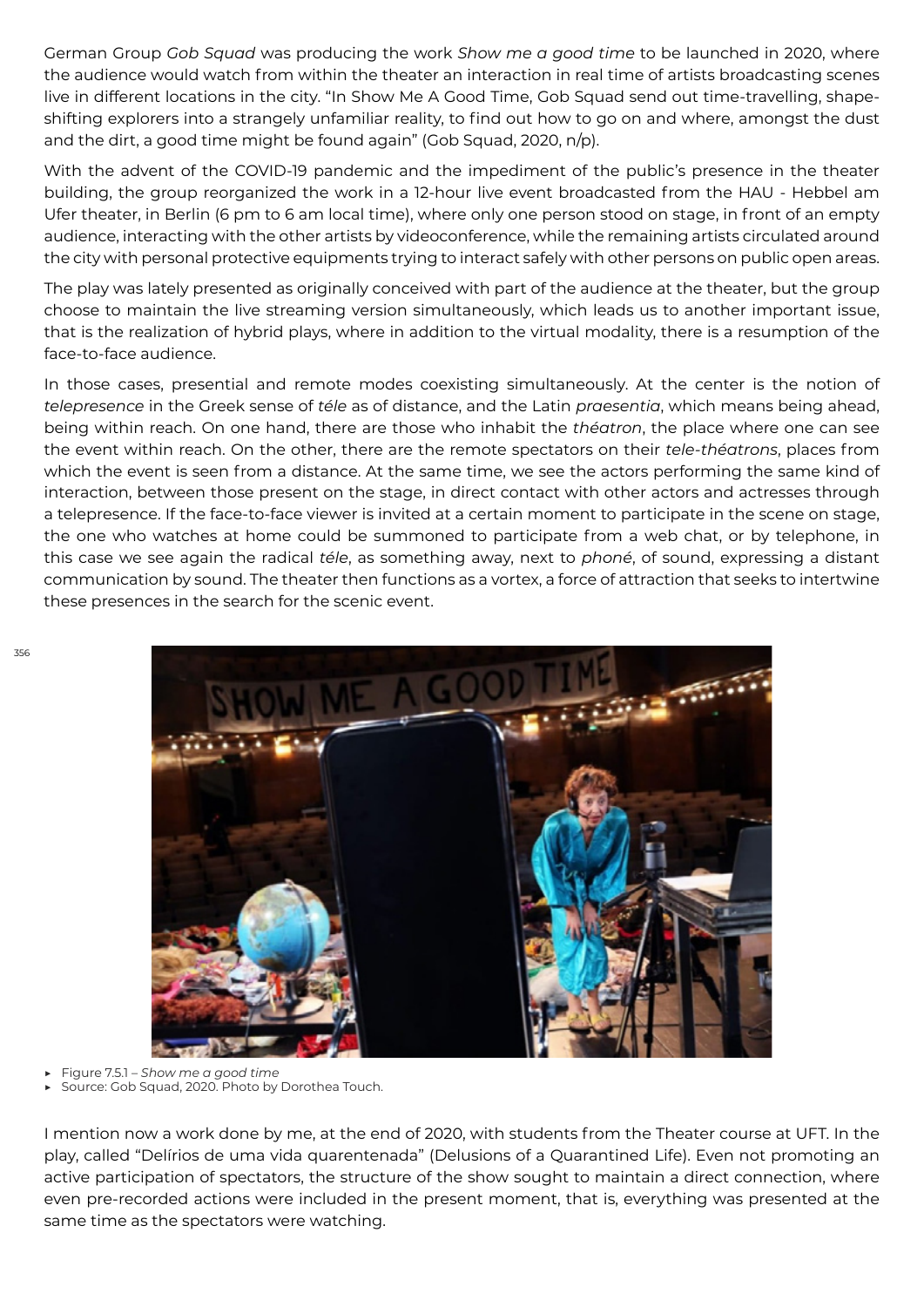German Group *Gob Squad* was producing the work *Show me a good time* to be launched in 2020, where the audience would watch from within the theater an interaction in real time of artists broadcasting scenes live in different locations in the city. "In Show Me A Good Time, Gob Squad send out time-travelling, shapeshifting explorers into a strangely unfamiliar reality, to find out how to go on and where, amongst the dust and the dirt, a good time might be found again" (Gob Squad, 2020, n/p).

With the advent of the COVID-19 pandemic and the impediment of the public's presence in the theater building, the group reorganized the work in a 12-hour live event broadcasted from the HAU - Hebbel am Ufer theater, in Berlin (6 pm to 6 am local time), where only one person stood on stage, in front of an empty audience, interacting with the other artists by videoconference, while the remaining artists circulated around the city with personal protective equipments trying to interact safely with other persons on public open areas.

The play was lately presented as originally conceived with part of the audience at the theater, but the group choose to maintain the live streaming version simultaneously, which leads us to another important issue, that is the realization of hybrid plays, where in addition to the virtual modality, there is a resumption of the face-to-face audience.

In those cases, presential and remote modes coexisting simultaneously. At the center is the notion of *telepresence* in the Greek sense of *téle* as of distance, and the Latin *praesentia*, which means being ahead, being within reach. On one hand, there are those who inhabit the *théatron*, the place where one can see the event within reach. On the other, there are the remote spectators on their *tele-théatrons*, places from which the event is seen from a distance. At the same time, we see the actors performing the same kind of interaction, between those present on the stage, in direct contact with other actors and actresses through a telepresence. If the face-to-face viewer is invited at a certain moment to participate in the scene on stage, the one who watches at home could be summoned to participate from a web chat, or by telephone, in this case we see again the radical *téle*, as something away, next to *phoné*, of sound, expressing a distant communication by sound. The theater then functions as a vortex, a force of attraction that seeks to intertwine these presences in the search for the scenic event.



▶ Figure 7.5.1 – *Show me a good time* 

Source: Gob Squad, 2020. Photo by Dorothea Touch.

I mention now a work done by me, at the end of 2020, with students from the Theater course at UFT. In the play, called "Delírios de uma vida quarentenada" (Delusions of a Quarantined Life). Even not promoting an active participation of spectators, the structure of the show sought to maintain a direct connection, where even pre-recorded actions were included in the present moment, that is, everything was presented at the same time as the spectators were watching.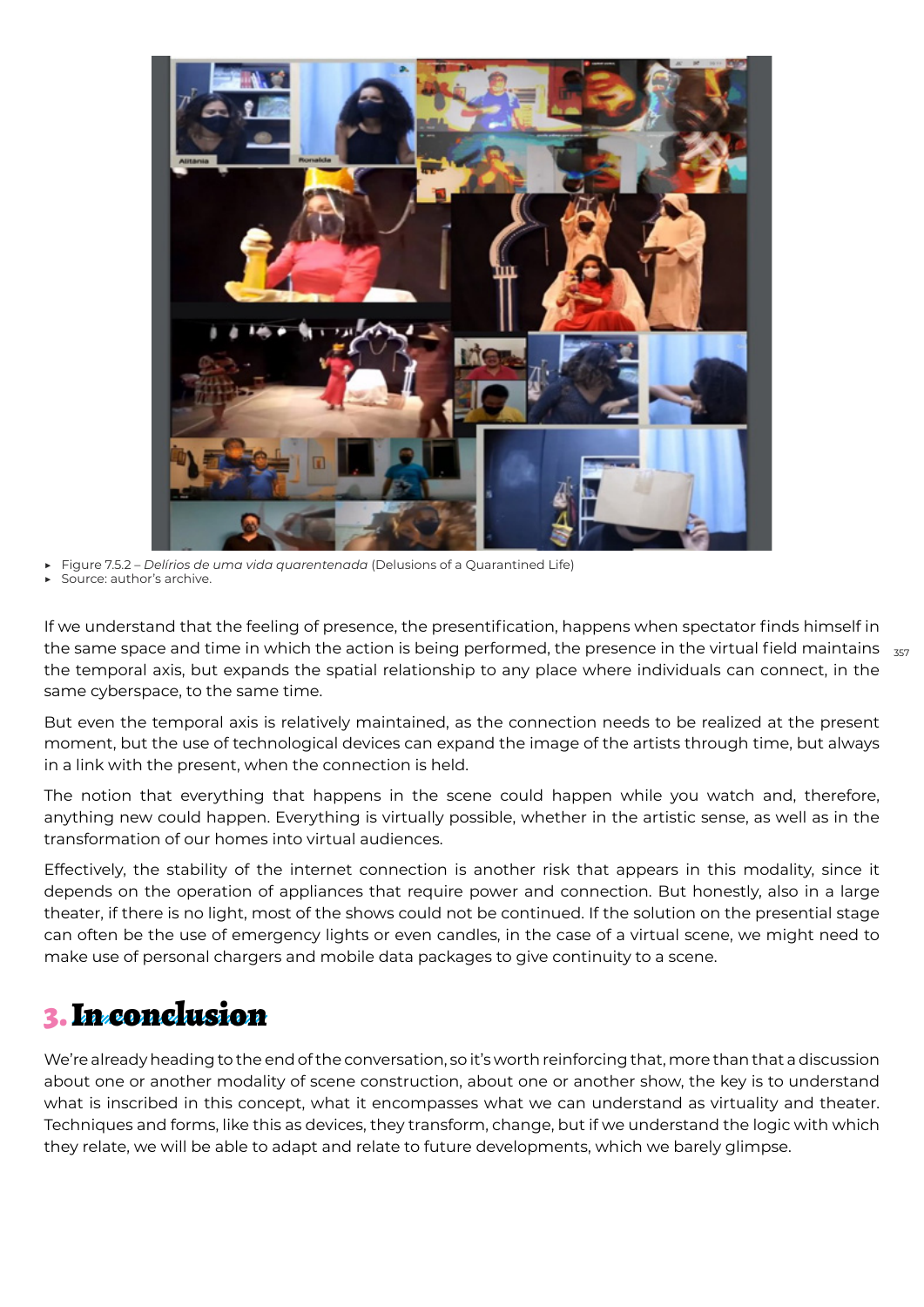

▶ Figure 7.5.2 – *Delírios de uma vida quarentenada* (Delusions of a Quarantined Life)

Source: author's archive.

the same space and time in which the action is being performed, the presence in the virtual field maintains  $\,$   $_{\rm 357}$ If we understand that the feeling of presence, the presentification, happens when spectator finds himself in the temporal axis, but expands the spatial relationship to any place where individuals can connect, in the same cyberspace, to the same time.

But even the temporal axis is relatively maintained, as the connection needs to be realized at the present moment, but the use of technological devices can expand the image of the artists through time, but always in a link with the present, when the connection is held.

The notion that everything that happens in the scene could happen while you watch and, therefore, anything new could happen. Everything is virtually possible, whether in the artistic sense, as well as in the transformation of our homes into virtual audiences.

Effectively, the stability of the internet connection is another risk that appears in this modality, since it depends on the operation of appliances that require power and connection. But honestly, also in a large theater, if there is no light, most of the shows could not be continued. If the solution on the presential stage can often be the use of emergency lights or even candles, in the case of a virtual scene, we might need to make use of personal chargers and mobile data packages to give continuity to a scene.

## 3. In conclusion

We're already heading to the end of the conversation, so it's worth reinforcing that, more than that a discussion about one or another modality of scene construction, about one or another show, the key is to understand what is inscribed in this concept, what it encompasses what we can understand as virtuality and theater. Techniques and forms, like this as devices, they transform, change, but if we understand the logic with which they relate, we will be able to adapt and relate to future developments, which we barely glimpse.